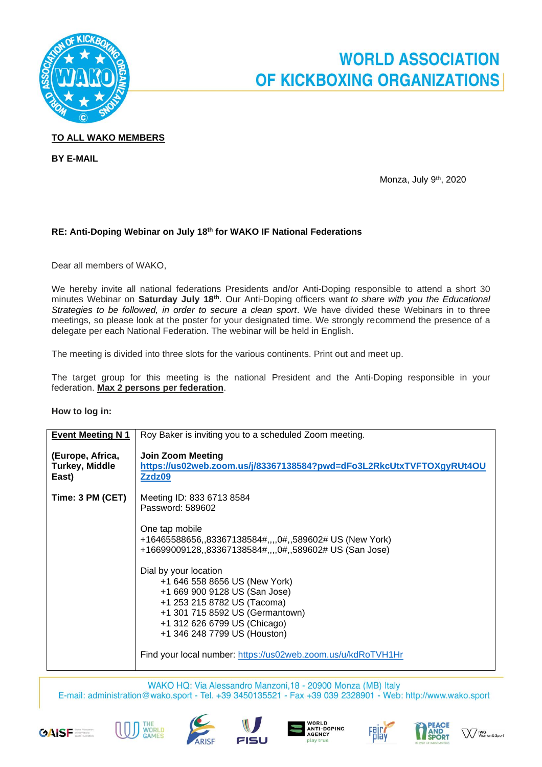

## **WORLD ASSOCIATION** OF KICKBOXING ORGANIZATIONS

### **TO ALL WAKO MEMBERS**

**BY E-MAIL**

Monza, July 9 th , 2020

#### **RE: Anti-Doping Webinar on July 18th for WAKO IF National Federations**

Dear all members of WAKO,

We hereby invite all national federations Presidents and/or Anti-Doping responsible to attend a short 30 minutes Webinar on **Saturday July 18th**. Our Anti-Doping officers want *to share with you the Educational Strategies to be followed, in order to secure a clean sport*. We have divided these Webinars in to three meetings, so please look at the poster for your designated time. We strongly recommend the presence of a delegate per each National Federation. The webinar will be held in English.

The meeting is divided into three slots for the various continents. Print out and meet up.

The target group for this meeting is the national President and the Anti-Doping responsible in your federation. **Max 2 persons per federation**.

#### **How to log in:**

| <b>Event Meeting N 1</b>                           | Roy Baker is inviting you to a scheduled Zoom meeting.                                                                                                                                                                    |
|----------------------------------------------------|---------------------------------------------------------------------------------------------------------------------------------------------------------------------------------------------------------------------------|
| (Europe, Africa,<br><b>Turkey, Middle</b><br>East) | <b>Join Zoom Meeting</b><br>https://us02web.zoom.us/j/83367138584?pwd=dFo3L2RkcUtxTVFTOXgyRUt4OU<br>Zzdz09                                                                                                                |
| Time: 3 PM (CET)                                   | Meeting ID: 833 6713 8584<br>Password: 589602                                                                                                                                                                             |
|                                                    | One tap mobile<br>+16465588656,,83367138584#,,,,0#,,589602# US (New York)<br>+16699009128,,83367138584#,,,,0#,,589602# US (San Jose)                                                                                      |
|                                                    | Dial by your location<br>+1 646 558 8656 US (New York)<br>+1 669 900 9128 US (San Jose)<br>+1 253 215 8782 US (Tacoma)<br>+1 301 715 8592 US (Germantown)<br>+1 312 626 6799 US (Chicago)<br>+1 346 248 7799 US (Houston) |
|                                                    | Find your local number: https://us02web.zoom.us/u/kdRoTVH1Hr                                                                                                                                                              |

WAKO HQ: Via Alessandro Manzoni, 18 - 20900 Monza (MB) Italy E-mail: administration@wako.sport - Tel. +39 3450135521 - Fax +39 039 2328901 - Web: http://www.wako.sport